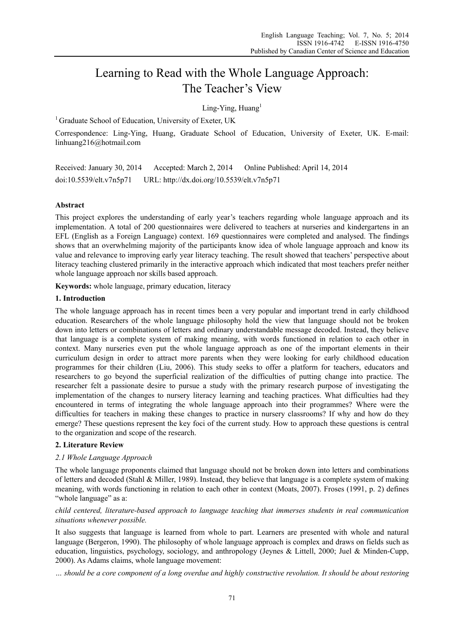# Learning to Read with the Whole Language Approach: The Teacher's View

Ling-Ying, Huang<sup>1</sup>

<sup>1</sup> Graduate School of Education, University of Exeter, UK

Correspondence: Ling-Ying, Huang, Graduate School of Education, University of Exeter, UK. E-mail: linhuang216@hotmail.com

Received: January 30, 2014 Accepted: March 2, 2014 Online Published: April 14, 2014 doi:10.5539/elt.v7n5p71 URL: http://dx.doi.org/10.5539/elt.v7n5p71

# **Abstract**

This project explores the understanding of early year's teachers regarding whole language approach and its implementation. A total of 200 questionnaires were delivered to teachers at nurseries and kindergartens in an EFL (English as a Foreign Language) context. 169 questionnaires were completed and analysed. The findings shows that an overwhelming majority of the participants know idea of whole language approach and know its value and relevance to improving early year literacy teaching. The result showed that teachers' perspective about literacy teaching clustered primarily in the interactive approach which indicated that most teachers prefer neither whole language approach nor skills based approach.

**Keywords:** whole language, primary education, literacy

# **1. Introduction**

The whole language approach has in recent times been a very popular and important trend in early childhood education. Researchers of the whole language philosophy hold the view that language should not be broken down into letters or combinations of letters and ordinary understandable message decoded. Instead, they believe that language is a complete system of making meaning, with words functioned in relation to each other in context. Many nurseries even put the whole language approach as one of the important elements in their curriculum design in order to attract more parents when they were looking for early childhood education programmes for their children (Liu, 2006). This study seeks to offer a platform for teachers, educators and researchers to go beyond the superficial realization of the difficulties of putting change into practice. The researcher felt a passionate desire to pursue a study with the primary research purpose of investigating the implementation of the changes to nursery literacy learning and teaching practices. What difficulties had they encountered in terms of integrating the whole language approach into their programmes? Where were the difficulties for teachers in making these changes to practice in nursery classrooms? If why and how do they emerge? These questions represent the key foci of the current study. How to approach these questions is central to the organization and scope of the research.

# **2. Literature Review**

# *2.1 Whole Language Approach*

The whole language proponents claimed that language should not be broken down into letters and combinations of letters and decoded (Stahl & Miller, 1989). Instead, they believe that language is a complete system of making meaning, with words functioning in relation to each other in context (Moats, 2007). Froses (1991, p. 2) defines "whole language" as a:

# *child centered, literature-based approach to language teaching that immerses students in real communication situations whenever possible.*

It also suggests that language is learned from whole to part. Learners are presented with whole and natural language (Bergeron, 1990). The philosophy of whole language approach is complex and draws on fields such as education, linguistics, psychology, sociology, and anthropology (Jeynes & Littell, 2000; Juel & Minden-Cupp, 2000). As Adams claims, whole language movement:

*… should be a core component of a long overdue and highly constructive revolution. It should be about restoring*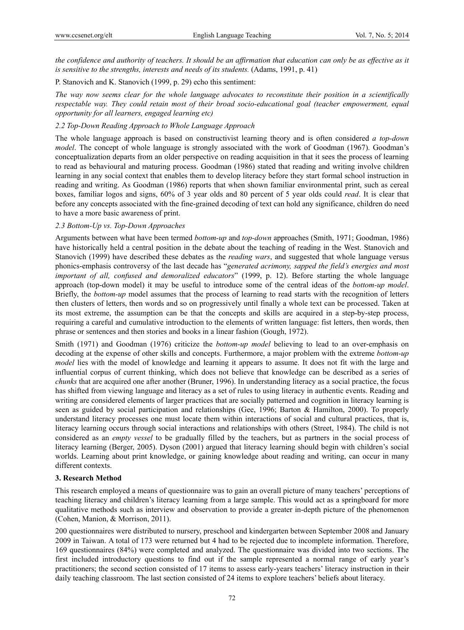*the confidence and authority of teachers. It should be an affirmation that education can only be as effective as it is sensitive to the strengths, interests and needs of its students.* (Adams, 1991, p. 41)

P. Stanovich and K. Stanovich (1999, p. 29) echo this sentiment:

*The way now seems clear for the whole language advocates to reconstitute their position in a scientifically respectable way. They could retain most of their broad socio-educational goal (teacher empowerment, equal opportunity for all learners, engaged learning etc)* 

## *2.2 Top-Down Reading Approach to Whole Language Approach*

The whole language approach is based on constructivist learning theory and is often considered *a top-down model*. The concept of whole language is strongly associated with the work of Goodman (1967). Goodman's conceptualization departs from an older perspective on reading acquisition in that it sees the process of learning to read as behavioural and maturing process. Goodman (1986) stated that reading and writing involve children learning in any social context that enables them to develop literacy before they start formal school instruction in reading and writing. As Goodman (1986) reports that when shown familiar environmental print, such as cereal boxes, familiar logos and signs, 60% of 3 year olds and 80 percent of 5 year olds could *read*. It is clear that before any concepts associated with the fine-grained decoding of text can hold any significance, children do need to have a more basic awareness of print.

## *2.3 Bottom-Up vs. Top-Down Approaches*

Arguments between what have been termed *bottom-up* and *top-down* approaches (Smith, 1971; Goodman, 1986) have historically held a central position in the debate about the teaching of reading in the West. Stanovich and Stanovich (1999) have described these debates as the *reading wars*, and suggested that whole language versus phonics-emphasis controversy of the last decade has "*generated acrimony, sapped the field's energies and most important of all, confused and demoralized educators*" (1999, p. 12). Before starting the whole language approach (top-down model) it may be useful to introduce some of the central ideas of the *bottom-up model*. Briefly, the *bottom-up* model assumes that the process of learning to read starts with the recognition of letters then clusters of letters, then words and so on progressively until finally a whole text can be processed. Taken at its most extreme, the assumption can be that the concepts and skills are acquired in a step-by-step process, requiring a careful and cumulative introduction to the elements of written language: fist letters, then words, then phrase or sentences and then stories and books in a linear fashion (Gough, 1972).

Smith (1971) and Goodman (1976) criticize the *bottom-up model* believing to lead to an over-emphasis on decoding at the expense of other skills and concepts. Furthermore, a major problem with the extreme *bottom-up model* lies with the model of knowledge and learning it appears to assume. It does not fit with the large and influential corpus of current thinking, which does not believe that knowledge can be described as a series of *chunks* that are acquired one after another (Bruner, 1996). In understanding literacy as a social practice, the focus has shifted from viewing language and literacy as a set of rules to using literacy in authentic events. Reading and writing are considered elements of larger practices that are socially patterned and cognition in literacy learning is seen as guided by social participation and relationships (Gee, 1996; Barton & Hamilton, 2000). To properly understand literacy processes one must locate them within interactions of social and cultural practices, that is, literacy learning occurs through social interactions and relationships with others (Street, 1984). The child is not considered as an *empty vessel* to be gradually filled by the teachers, but as partners in the social process of literacy learning (Berger, 2005). Dyson (2001) argued that literacy learning should begin with children's social worlds. Learning about print knowledge, or gaining knowledge about reading and writing, can occur in many different contexts.

#### **3. Research Method**

This research employed a means of questionnaire was to gain an overall picture of many teachers' perceptions of teaching literacy and children's literacy learning from a large sample. This would act as a springboard for more qualitative methods such as interview and observation to provide a greater in-depth picture of the phenomenon (Cohen, Manion, & Morrison, 2011).

200 questionnaires were distributed to nursery, preschool and kindergarten between September 2008 and January 2009 in Taiwan. A total of 173 were returned but 4 had to be rejected due to incomplete information. Therefore, 169 questionnaires (84%) were completed and analyzed. The questionnaire was divided into two sections. The first included introductory questions to find out if the sample represented a normal range of early year's practitioners; the second section consisted of 17 items to assess early-years teachers' literacy instruction in their daily teaching classroom. The last section consisted of 24 items to explore teachers' beliefs about literacy.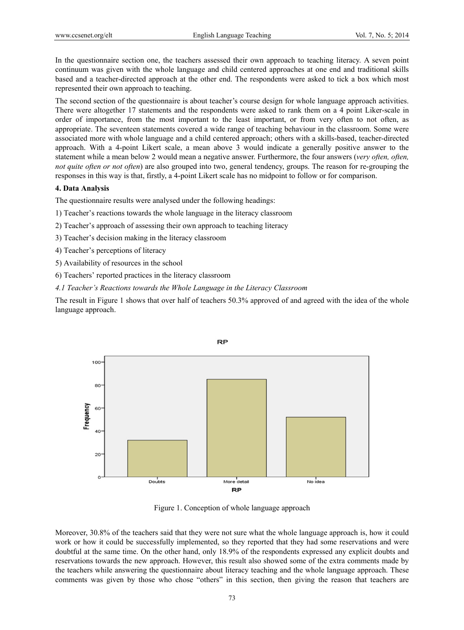In the questionnaire section one, the teachers assessed their own approach to teaching literacy. A seven point continuum was given with the whole language and child centered approaches at one end and traditional skills based and a teacher-directed approach at the other end. The respondents were asked to tick a box which most represented their own approach to teaching.

The second section of the questionnaire is about teacher's course design for whole language approach activities. There were altogether 17 statements and the respondents were asked to rank them on a 4 point Liker-scale in order of importance, from the most important to the least important, or from very often to not often, as appropriate. The seventeen statements covered a wide range of teaching behaviour in the classroom. Some were associated more with whole language and a child centered approach; others with a skills-based, teacher-directed approach. With a 4-point Likert scale, a mean above 3 would indicate a generally positive answer to the statement while a mean below 2 would mean a negative answer. Furthermore, the four answers (*very often, often, not quite often or not often*) are also grouped into two, general tendency, groups. The reason for re-grouping the responses in this way is that, firstly, a 4-point Likert scale has no midpoint to follow or for comparison.

#### **4. Data Analysis**

The questionnaire results were analysed under the following headings:

- 1) Teacher's reactions towards the whole language in the literacy classroom
- 2) Teacher's approach of assessing their own approach to teaching literacy
- 3) Teacher's decision making in the literacy classroom
- 4) Teacher's perceptions of literacy
- 5) Availability of resources in the school
- 6) Teachers' reported practices in the literacy classroom

*4.1 Teacher's Reactions towards the Whole Language in the Literacy Classroom* 

The result in Figure 1 shows that over half of teachers 50.3% approved of and agreed with the idea of the whole language approach.



Figure 1. Conception of whole language approach

Moreover, 30.8% of the teachers said that they were not sure what the whole language approach is, how it could work or how it could be successfully implemented, so they reported that they had some reservations and were doubtful at the same time. On the other hand, only 18.9% of the respondents expressed any explicit doubts and reservations towards the new approach. However, this result also showed some of the extra comments made by the teachers while answering the questionnaire about literacy teaching and the whole language approach. These comments was given by those who chose "others" in this section, then giving the reason that teachers are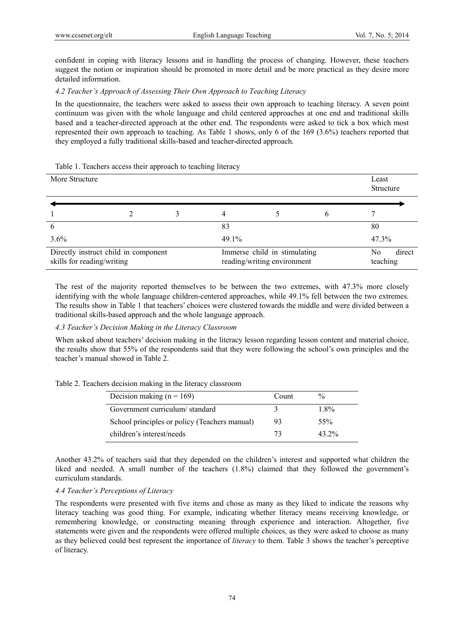confident in coping with literacy lessons and in handling the process of changing. However, these teachers suggest the notion or inspiration should be promoted in more detail and be more practical as they desire more detailed information.

## *4.2 Teacher's Approach of Assessing Their Own Approach to Teaching Literacy*

In the questionnaire, the teachers were asked to assess their own approach to teaching literacy. A seven point continuum was given with the whole language and child centered approaches at one end and traditional skills based and a teacher-directed approach at the other end. The respondents were asked to tick a box which most represented their own approach to teaching. As Table 1 shows, only 6 of the 169 (3.6%) teachers reported that they employed a fully traditional skills-based and teacher-directed approach.

| More Structure                                                     |  |  |       |                                                             |   | Least<br>Structure        |
|--------------------------------------------------------------------|--|--|-------|-------------------------------------------------------------|---|---------------------------|
|                                                                    |  |  | 4     |                                                             | O |                           |
| b                                                                  |  |  | 83    |                                                             |   | 80                        |
| 3.6%                                                               |  |  | 49.1% |                                                             |   | 47.3%                     |
| Directly instruct child in component<br>skills for reading/writing |  |  |       | Immerse child in stimulating<br>reading/writing environment |   | direct<br>No.<br>teaching |

#### Table 1. Teachers access their approach to teaching literacy

The rest of the majority reported themselves to be between the two extremes, with 47.3% more closely identifying with the whole language children-centered approaches, while 49.1% fell between the two extremes. The results show in Table 1 that teachers' choices were clustered towards the middle and were divided between a traditional skills-based approach and the whole language approach.

## *4.3 Teacher's Decision Making in the Literacy Classroom*

When asked about teachers' decision making in the literacy lesson regarding lesson content and material choice, the results show that 55% of the respondents said that they were following the school's own principles and the teacher's manual showed in Table 2.

Table 2. Teachers decision making in the literacy classroom

| Decision making ( $n = 169$ )                 | Count | $\frac{0}{0}$ |
|-----------------------------------------------|-------|---------------|
| Government curriculum/standard                |       | 18%           |
| School principles or policy (Teachers manual) | 93    | 55%           |
| children's interest/needs                     | 73    | 43 2%         |

Another 43.2% of teachers said that they depended on the children's interest and supported what children the liked and needed. A small number of the teachers (1.8%) claimed that they followed the government's curriculum standards.

## *4.4 Teacher's Perceptions of Literacy*

The respondents were presented with five items and chose as many as they liked to indicate the reasons why literacy teaching was good thing. For example, indicating whether literacy means receiving knowledge, or remembering knowledge, or constructing meaning through experience and interaction. Altogether, five statements were given and the respondents were offered multiple choices, as they were asked to choose as many as they believed could best represent the importance of *literacy* to them. Table 3 shows the teacher's perceptive of literacy.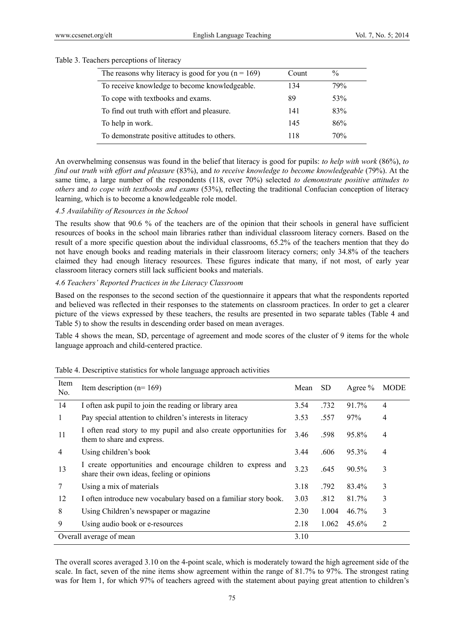| The reasons why literacy is good for you $(n = 169)$ | Count | $\frac{0}{0}$ |
|------------------------------------------------------|-------|---------------|
| To receive knowledge to become knowledgeable.        | 134   | 79%           |
| To cope with textbooks and exams.                    | 89    | 53%           |
| To find out truth with effort and pleasure.          | 141   | 83%           |
| To help in work.                                     | 145   | 86%           |
| To demonstrate positive attitudes to others.         | 118   | 70%           |

#### Table 3. Teachers perceptions of literacy

An overwhelming consensus was found in the belief that literacy is good for pupils: *to help with work* (86%), *to find out truth with effort and pleasure* (83%), and *to receive knowledge to become knowledgeable* (79%). At the same time, a large number of the respondents (118, over 70%) selected *to demonstrate positive attitudes to others* and *to cope with textbooks and exams* (53%), reflecting the traditional Confucian conception of literacy learning, which is to become a knowledgeable role model.

#### *4.5 Availability of Resources in the School*

The results show that 90.6 % of the teachers are of the opinion that their schools in general have sufficient resources of books in the school main libraries rather than individual classroom literacy corners. Based on the result of a more specific question about the individual classrooms, 65.2% of the teachers mention that they do not have enough books and reading materials in their classroom literacy corners; only 34.8% of the teachers claimed they had enough literacy resources. These figures indicate that many, if not most, of early year classroom literacy corners still lack sufficient books and materials.

# *4.6 Teachers' Reported Practices in the Literacy Classroom*

Based on the responses to the second section of the questionnaire it appears that what the respondents reported and believed was reflected in their responses to the statements on classroom practices. In order to get a clearer picture of the views expressed by these teachers, the results are presented in two separate tables (Table 4 and Table 5) to show the results in descending order based on mean averages.

Table 4 shows the mean, SD, percentage of agreement and mode scores of the cluster of 9 items for the whole language approach and child-centered practice.

| Item<br>No.             | Item description $(n=169)$                                                                                 |      | SD.   | Agree $%$ | <b>MODE</b>    |
|-------------------------|------------------------------------------------------------------------------------------------------------|------|-------|-----------|----------------|
| 14                      | I often ask pupil to join the reading or library area                                                      | 3.54 | .732  | 91.7%     | $\overline{4}$ |
| 1                       | Pay special attention to children's interests in literacy                                                  | 3.53 | .557  | 97%       | $\overline{4}$ |
| 11                      | I often read story to my pupil and also create opportunities for<br>them to share and express.             | 3.46 | .598  | 95.8%     | $\overline{4}$ |
| 4                       | Using children's book                                                                                      | 3.44 | .606  | $95.3\%$  | $\overline{4}$ |
| 13                      | I create opportunities and encourage children to express and<br>share their own ideas, feeling or opinions | 3.23 | .645  | $90.5\%$  | 3              |
| 7                       | Using a mix of materials                                                                                   | 3.18 | .792  | 83.4%     | 3              |
| 12                      | I often introduce new vocabulary based on a familiar story book.                                           | 3.03 | .812  | 81.7%     | 3              |
| 8                       | Using Children's newspaper or magazine                                                                     | 2.30 | 1.004 | 46.7%     | 3              |
| 9                       | Using audio book or e-resources                                                                            | 2.18 | 1.062 | 45.6%     | 2              |
| Overall average of mean |                                                                                                            | 3.10 |       |           |                |

The overall scores averaged 3.10 on the 4-point scale, which is moderately toward the high agreement side of the scale. In fact, seven of the nine items show agreement within the range of 81.7% to 97%. The strongest rating was for Item 1, for which 97% of teachers agreed with the statement about paying great attention to children's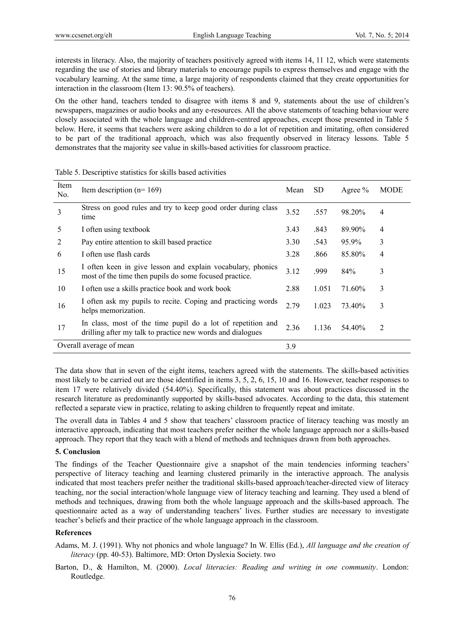interests in literacy. Also, the majority of teachers positively agreed with items 14, 11 12, which were statements regarding the use of stories and library materials to encourage pupils to express themselves and engage with the vocabulary learning. At the same time, a large majority of respondents claimed that they create opportunities for interaction in the classroom (Item 13: 90.5% of teachers).

On the other hand, teachers tended to disagree with items 8 and 9, statements about the use of children's newspapers, magazines or audio books and any e-resources. All the above statements of teaching behaviour were closely associated with the whole language and children-centred approaches, except those presented in Table 5 below. Here, it seems that teachers were asking children to do a lot of repetition and imitating, often considered to be part of the traditional approach, which was also frequently observed in literacy lessons. Table 5 demonstrates that the majority see value in skills-based activities for classroom practice.

| Item<br>No.             | Item description $(n=169)$                                                                                                | Mean | <b>SD</b> | Agree $%$ | MODE           |
|-------------------------|---------------------------------------------------------------------------------------------------------------------------|------|-----------|-----------|----------------|
| 3                       | Stress on good rules and try to keep good order during class<br>time                                                      | 3.52 | .557      | 98.20%    | $\overline{4}$ |
| 5                       | I often using textbook                                                                                                    | 3.43 | .843      | 89.90%    | 4              |
| 2                       | Pay entire attention to skill based practice                                                                              | 3.30 | .543      | 95.9%     | 3              |
| 6                       | I often use flash cards                                                                                                   | 3.28 | .866      | 85.80%    | 4              |
| 15                      | I often keen in give lesson and explain vocabulary, phonics<br>most of the time then pupils do some focused practice.     | 3.12 | .999      | 84%       | 3              |
| 10                      | I often use a skills practice book and work book                                                                          | 2.88 | 1.051     | 71.60%    | 3              |
| 16                      | I often ask my pupils to recite. Coping and practicing words<br>helps memorization.                                       | 2.79 | 1.023     | 73.40%    | 3              |
| 17                      | In class, most of the time pupil do a lot of repetition and<br>drilling after my talk to practice new words and dialogues | 2.36 | 1.136     | 54.40%    | 2              |
| Overall average of mean |                                                                                                                           | 3.9  |           |           |                |

#### Table 5. Descriptive statistics for skills based activities

The data show that in seven of the eight items, teachers agreed with the statements. The skills-based activities most likely to be carried out are those identified in items 3, 5, 2, 6, 15, 10 and 16. However, teacher responses to item 17 were relatively divided (54.40%). Specifically, this statement was about practices discussed in the research literature as predominantly supported by skills-based advocates. According to the data, this statement reflected a separate view in practice, relating to asking children to frequently repeat and imitate.

The overall data in Tables 4 and 5 show that teachers' classroom practice of literacy teaching was mostly an interactive approach, indicating that most teachers prefer neither the whole language approach nor a skills-based approach. They report that they teach with a blend of methods and techniques drawn from both approaches.

## **5. Conclusion**

The findings of the Teacher Questionnaire give a snapshot of the main tendencies informing teachers' perspective of literacy teaching and learning clustered primarily in the interactive approach. The analysis indicated that most teachers prefer neither the traditional skills-based approach/teacher-directed view of literacy teaching, nor the social interaction/whole language view of literacy teaching and learning. They used a blend of methods and techniques, drawing from both the whole language approach and the skills-based approach. The questionnaire acted as a way of understanding teachers' lives. Further studies are necessary to investigate teacher's beliefs and their practice of the whole language approach in the classroom.

## **References**

- Adams, M. J. (1991). Why not phonics and whole language? In W. Ellis (Ed.), *All language and the creation of literacy* (pp. 40-53). Baltimore, MD: Orton Dyslexia Society. two
- Barton, D., & Hamilton, M. (2000). *Local literacies: Reading and writing in one community*. London: Routledge.